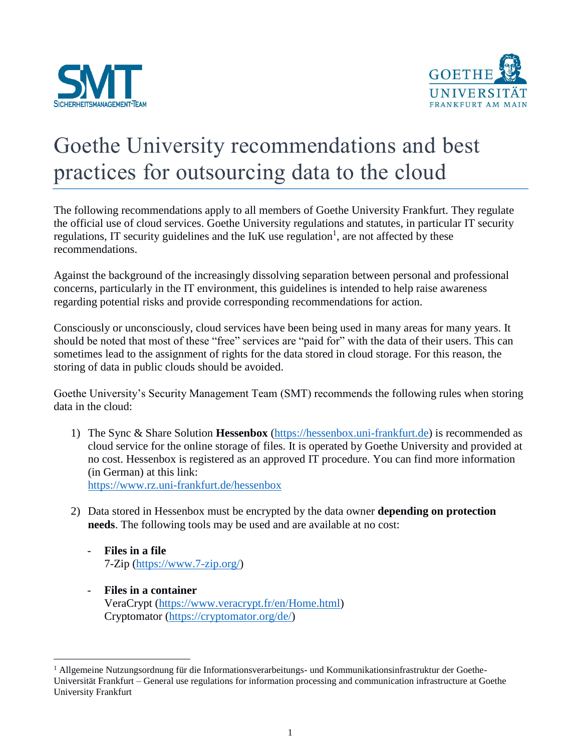



## Goethe University recommendations and best practices for outsourcing data to the cloud

The following recommendations apply to all members of Goethe University Frankfurt. They regulate the official use of cloud services. Goethe University regulations and statutes, in particular IT security regulations, IT security guidelines and the  $I uK$  use regulation<sup>1</sup>, are not affected by these recommendations.

Against the background of the increasingly dissolving separation between personal and professional concerns, particularly in the IT environment, this guidelines is intended to help raise awareness regarding potential risks and provide corresponding recommendations for action.

Consciously or unconsciously, cloud services have been being used in many areas for many years. It should be noted that most of these "free" services are "paid for" with the data of their users. This can sometimes lead to the assignment of rights for the data stored in cloud storage. For this reason, the storing of data in public clouds should be avoided.

Goethe University's Security Management Team (SMT) recommends the following rules when storing data in the cloud:

- 1) The Sync & Share Solution **Hessenbox** [\(https://hessenbox.uni-frankfurt.de\)](https://hessenbox.uni-frankfurt.de/) is recommended as cloud service for the online storage of files. It is operated by Goethe University and provided at no cost. Hessenbox is registered as an approved IT procedure. You can find more information (in German) at this link: <https://www.rz.uni-frankfurt.de/hessenbox>
- 2) Data stored in Hessenbox must be encrypted by the data owner **depending on protection needs**. The following tools may be used and are available at no cost:
	- **Files in a file** 7-Zip [\(https://www.7-zip.org/\)](https://www.7-zip.org/)

 $\overline{a}$ 

- **Files in a container** VeraCrypt [\(https://www.veracrypt.fr/en/Home.html\)](https://www.veracrypt.fr/en/Home.html) Cryptomator [\(https://cryptomator.org/de/\)](https://cryptomator.org/de/)

<sup>1</sup> Allgemeine Nutzungsordnung für die Informationsverarbeitungs- und Kommunikationsinfrastruktur der Goethe-Universität Frankfurt – General use regulations for information processing and communication infrastructure at Goethe University Frankfurt